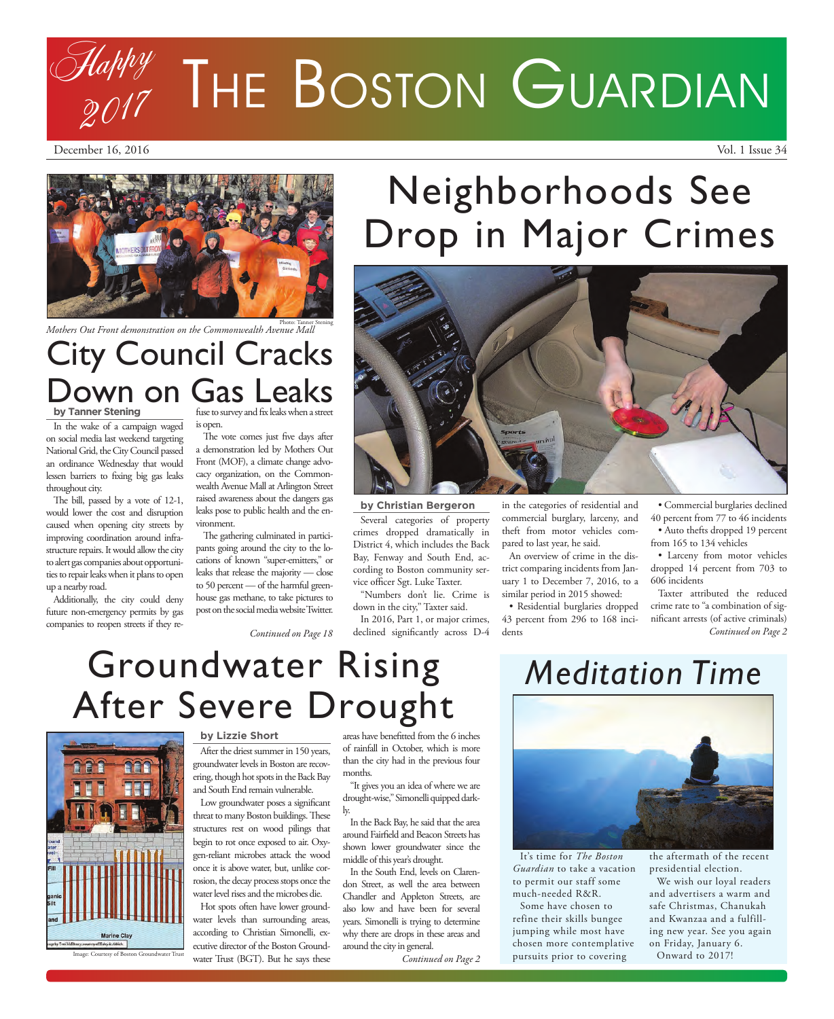## Groundwater Rising After Severe Drought



## **by Lizzie Short**

After the driest summer in 150 years, groundwater levels in Boston are recovering, though hot spots in the Back Bay and South End remain vulnerable.

Low groundwater poses a significant threat to many Boston buildings. These structures rest on wood pilings that begin to rot once exposed to air. Oxygen-reliant microbes attack the wood once it is above water, but, unlike corrosion, the decay process stops once the water level rises and the microbes die.

Hot spots often have lower groundwater levels than surrounding areas, according to Christian Simonelli, executive director of the Boston Ground-Image: Courtesy of Boston Groundwater Trust<br> **Water Trust (BGT). But he says these** Continued on Page 2

areas have benefitted from the 6 inches of rainfall in October, which is more than the city had in the previous four months.

"It gives you an idea of where we are drought-wise," Simonelli quipped darkly.

In the Back Bay, he said that the area around Fairfield and Beacon Streets has shown lower groundwater since the middle of this year's drought.

In the South End, levels on Clarendon Street, as well the area between Chandler and Appleton Streets, are also low and have been for several years. Simonelli is trying to determine why there are drops in these areas and around the city in general.